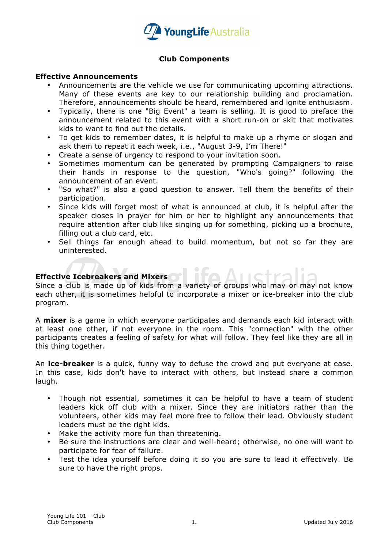

## **Club Components**

### **Effective Announcements**

- Announcements are the vehicle we use for communicating upcoming attractions. Many of these events are key to our relationship building and proclamation. Therefore, announcements should be heard, remembered and ignite enthusiasm.
- Typically, there is one "Big Event" a team is selling. It is good to preface the announcement related to this event with a short run-on or skit that motivates kids to want to find out the details.
- To get kids to remember dates, it is helpful to make up a rhyme or slogan and ask them to repeat it each week, i.e., "August 3-9, I'm There!"
- Create a sense of urgency to respond to your invitation soon.
- Sometimes momentum can be generated by prompting Campaigners to raise their hands in response to the question, "Who's going?" following the announcement of an event.
- "So what?" is also a good question to answer. Tell them the benefits of their participation.
- Since kids will forget most of what is announced at club, it is helpful after the speaker closes in prayer for him or her to highlight any announcements that require attention after club like singing up for something, picking up a brochure, filling out a club card, etc.
- Sell things far enough ahead to build momentum, but not so far they are uninterested.

# **Effective Icebreakers and Mixers**

Since a club is made up of kids from a variety of groups who may or may not know each other, it is sometimes helpful to incorporate a mixer or ice-breaker into the club program.

A **mixer** is a game in which everyone participates and demands each kid interact with at least one other, if not everyone in the room. This "connection" with the other participants creates a feeling of safety for what will follow. They feel like they are all in this thing together.

An **ice-breaker** is a quick, funny way to defuse the crowd and put everyone at ease. In this case, kids don't have to interact with others, but instead share a common laugh.

- Though not essential, sometimes it can be helpful to have a team of student leaders kick off club with a mixer. Since they are initiators rather than the volunteers, other kids may feel more free to follow their lead. Obviously student leaders must be the right kids.
- Make the activity more fun than threatening.
- Be sure the instructions are clear and well-heard; otherwise, no one will want to participate for fear of failure.
- Test the idea yourself before doing it so you are sure to lead it effectively. Be sure to have the right props.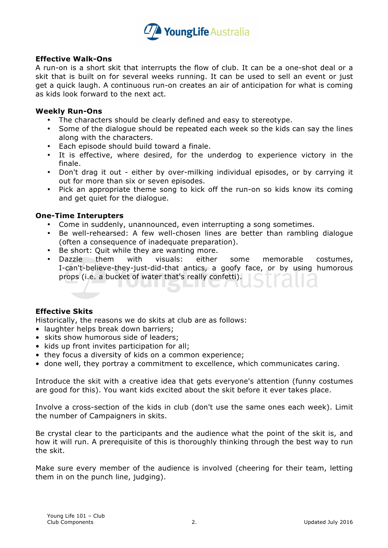

### **Effective Walk-Ons**

A run-on is a short skit that interrupts the flow of club. It can be a one-shot deal or a skit that is built on for several weeks running. It can be used to sell an event or just get a quick laugh. A continuous run-on creates an air of anticipation for what is coming as kids look forward to the next act.

### **Weekly Run-Ons**

- The characters should be clearly defined and easy to stereotype.
- Some of the dialogue should be repeated each week so the kids can say the lines along with the characters.
- Each episode should build toward a finale.
- It is effective, where desired, for the underdog to experience victory in the finale.
- Don't drag it out either by over-milking individual episodes, or by carrying it out for more than six or seven episodes.
- Pick an appropriate theme song to kick off the run-on so kids know its coming and get quiet for the dialogue.

### **One-Time Interupters**

- Come in suddenly, unannounced, even interrupting a song sometimes.
- Be well-rehearsed: A few well-chosen lines are better than rambling dialogue (often a consequence of inadequate preparation).
- Be short: Quit while they are wanting more.
- Dazzle them with visuals: either some memorable costumes, I-can't-believe-they-just-did-that antics, a goofy face, or by using humorous props (i.e. a bucket of water that's really confetti).

### **Effective Skits**

Historically, the reasons we do skits at club are as follows:

- laughter helps break down barriers;
- skits show humorous side of leaders;
- kids up front invites participation for all;
- they focus a diversity of kids on a common experience;
- done well, they portray a commitment to excellence, which communicates caring.

Introduce the skit with a creative idea that gets everyone's attention (funny costumes are good for this). You want kids excited about the skit before it ever takes place.

Involve a cross-section of the kids in club (don't use the same ones each week). Limit the number of Campaigners in skits.

Be crystal clear to the participants and the audience what the point of the skit is, and how it will run. A prerequisite of this is thoroughly thinking through the best way to run the skit.

Make sure every member of the audience is involved (cheering for their team, letting them in on the punch line, judging).